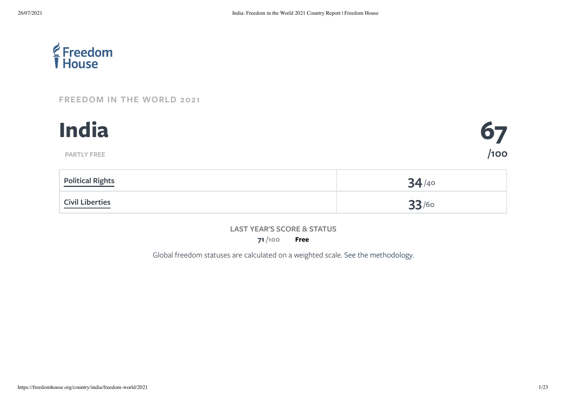

### **[FREEDOM](https://freedomhouse.org/report/freedom-world/2021/democracy-under-siege) IN THE WORLD 2021**



|                        | ___ |
|------------------------|-----|
| <b>Civil Liberties</b> |     |

#### **LAST YEAR'S SCORE & STATUS**

**71 Free /100**

Global freedom statuses are calculated on a weighted scale. See the [methodology.](https://freedomhouse.org/reports/freedom-world/freedom-world-research-methodology)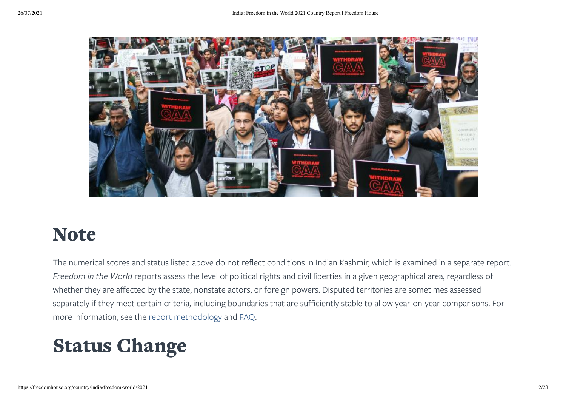

### Note

The numerical scores and status listed above do not reflect conditions in Indian Kashmir, which is examined in a separate report. *Freedom in the World* reports assess the level of political rights and civil liberties in a given geographical area, regardless of whether they are affected by the state, nonstate actors, or foreign powers. Disputed territories are sometimes assessed separately if they meet certain criteria, including boundaries that are sufficiently stable to allow year-on-year comparisons. For more information, see the report [methodology](https://freedomhouse.org/reports/freedom-world/freedom-world-research-methodology) and [FAQ](https://freedomhouse.org/reports/freedom-world/faq-freedom-world).

## Status Change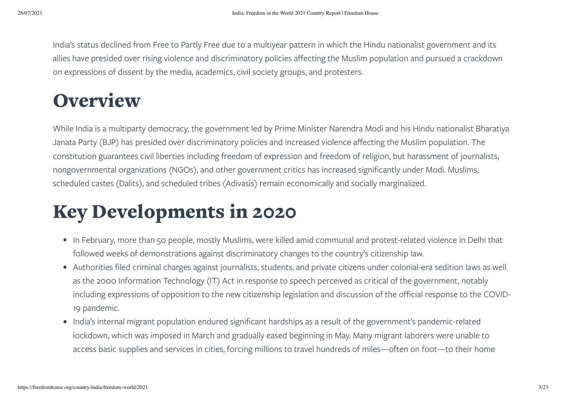India's status declined from Free to Partly Free due to a multiyear pattern in which the Hindu nationalist government and its allies have presided over rising violence and discriminatory policies affecting the Muslim population and pursued a crackdown on expressions of dissent by the media, academics, civil society groups, and protesters.

### **Overview**

While India is a multiparty democracy, the government led by Prime Minister Narendra Modi and his Hindu nationalist Bharatiya Janata Party (BJP) has presided over discriminatory policies and increased violence affecting the Muslim population. The constitution guarantees civil liberties including freedom of expression and freedom of religion, but harassment of journalists, nongovernmental organizations (NGOs), and other government critics has increased significantly under Modi. Muslims, scheduled castes (Dalits), and scheduled tribes (Adivasis) remain economically and socially marginalized.

## Key Developments in 2020

- In February, more than 50 people, mostly Muslims, were killed amid communal and protest-related violence in Delhi that followed weeks of demonstrations against discriminatory changes to the country's citizenship law.
- Authorities filed criminal charges against journalists, students, and private citizens under colonial-era sedition laws as well as the 2000 Information Technology (IT) Act in response to speech perceived as critical of the government, notably including expressions of opposition to the new citizenship legislation and discussion of the official response to the COVID-19 pandemic.
- India's internal migrant population endured significant hardships as a result of the government's pandemic-related lockdown, which was imposed in March and gradually eased beginning in May. Many migrant laborers were unable to access basic supplies and services in cities, forcing millions to travel hundreds of miles—often on foot—to their home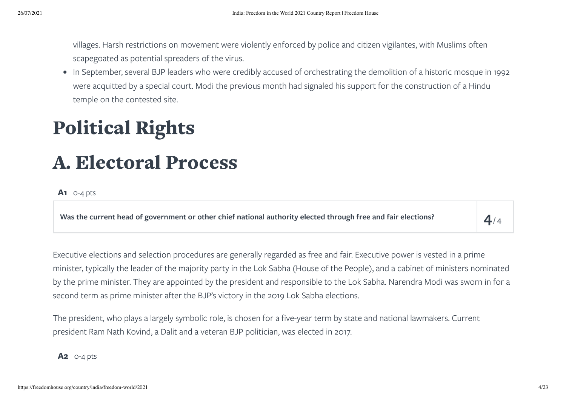villages. Harsh restrictions on movement were violently enforced by police and citizen vigilantes, with Muslims often scapegoated as potential spreaders of the virus.

• In September, several BJP leaders who were credibly accused of orchestrating the demolition of a historic mosque in 1992 were acquitted by a special court. Modi the previous month had signaled his support for the construction of a Hindu temple on the contested site.

# <span id="page-3-0"></span>Political Rights

### A. Electoral Process

### **A1** 0-4 pts

Was the current head of government or other chief national authority elected through free and fair elections?

 $4/4$ 

Executive elections and selection procedures are generally regarded as free and fair. Executive power is vested in a prime minister, typically the leader of the majority party in the Lok Sabha (House of the People), and a cabinet of ministers nominated by the prime minister. They are appointed by the president and responsible to the Lok Sabha. Narendra Modi was sworn in for a second term as prime minister after the BJP's victory in the 2019 Lok Sabha elections.

The president, who plays a largely symbolic role, is chosen for a five-year term by state and national lawmakers. Current president Ram Nath Kovind, a Dalit and a veteran BJP politician, was elected in 2017.

**A2** 0-4 pts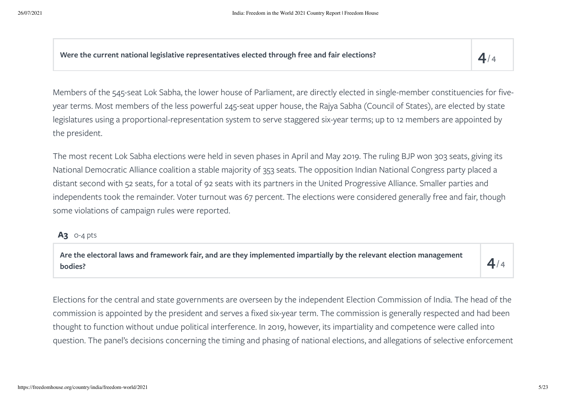**Were the current national legislative representatives elected through free and fair elections? 4**

 $4/4$ 

Members of the 545-seat Lok Sabha, the lower house of Parliament, are directly elected in single-member constituencies for fiveyear terms. Most members of the less powerful 245-seat upper house, the Rajya Sabha (Council of States), are elected by state legislatures using a proportional-representation system to serve staggered six-year terms; up to 12 members are appointed by the president.

The most recent Lok Sabha elections were held in seven phases in April and May 2019. The ruling BJP won 303 seats, giving its National Democratic Alliance coalition a stable majority of 353 seats. The opposition Indian National Congress party placed a distant second with 52 seats, for a total of 92 seats with its partners in the United Progressive Alliance. Smaller parties and independents took the remainder. Voter turnout was 67 percent. The elections were considered generally free and fair, though some violations of campaign rules were reported.

### **A3** 0-4 pts

Are the electoral laws and framework fair, and are they implemented impartially by the relevant election management  $\vert\,\,\,4/2\rangle$ 

 $4/4$ 

Elections for the central and state governments are overseen by the independent Election Commission of India. The head of the commission is appointed by the president and serves a fixed six-year term. The commission is generally respected and had been thought to function without undue political interference. In 2019, however, its impartiality and competence were called into question. The panel's decisions concerning the timing and phasing of national elections, and allegations of selective enforcement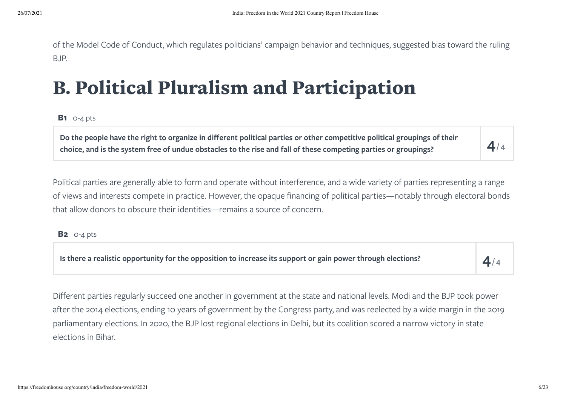of the Model Code of Conduct, which regulates politicians' campaign behavior and techniques, suggested bias toward the ruling BJP.

# B. Political Pluralism and Participation

### **B1** 0-4 pts

Do the people have the right to organize in different political parties or other competitive political groupings of their choice, and is the system free of undue obstacles to the rise and fall of these competing parties or groupings?

Political parties are generally able to form and operate without interference, and a wide variety of parties representing a range of views and interests compete in practice. However, the opaque financing of political parties—notably through electoral bonds that allow donors to obscure their identities—remains a source of concern.

### **B2** 0-4 pts

Is there a realistic opportunity for the opposition to increase its support or gain power through elections?

 $4/4$ 

 $4/4$ 

Different parties regularly succeed one another in government at the state and national levels. Modi and the BJP took power after the 2014 elections, ending 10 years of government by the Congress party, and was reelected by a wide margin in the 2019 parliamentary elections. In 2020, the BJP lost regional elections in Delhi, but its coalition scored a narrow victory in state elections in Bihar.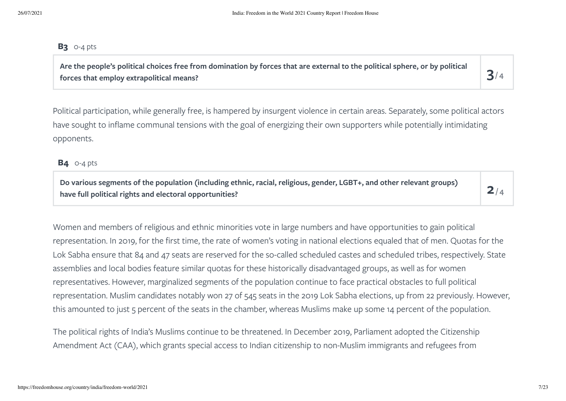#### **B3** 0-4 pts

Are the people's political choices free from domination by forces that are external to the political sphere, or by political  $\mathbf S/\mathbf S$ 

 $3/4$ 

Political participation, while generally free, is hampered by insurgent violence in certain areas. Separately, some political actors have sought to inflame communal tensions with the goal of energizing their own supporters while potentially intimidating opponents.

**B4** 0-4 pts

Do various segments of the population (including ethnic, racial, religious, gender, LGBT+, and other relevant groups)<br>have full political rights and electoral opportunities?

 $2/4$ 

Women and members of religious and ethnic minorities vote in large numbers and have opportunities to gain political representation. In 2019, for the first time, the rate of women's voting in national elections equaled that of men. Quotas for the Lok Sabha ensure that 84 and 47 seats are reserved for the so-called scheduled castes and scheduled tribes, respectively. State assemblies and local bodies feature similar quotas for these historically disadvantaged groups, as well as for women representatives. However, marginalized segments of the population continue to face practical obstacles to full political representation. Muslim candidates notably won 27 of 545 seats in the 2019 Lok Sabha elections, up from 22 previously. However, this amounted to just 5 percent of the seats in the chamber, whereas Muslims make up some 14 percent of the population.

The political rights of India's Muslims continue to be threatened. In December 2019, Parliament adopted the Citizenship Amendment Act (CAA), which grants special access to Indian citizenship to non-Muslim immigrants and refugees from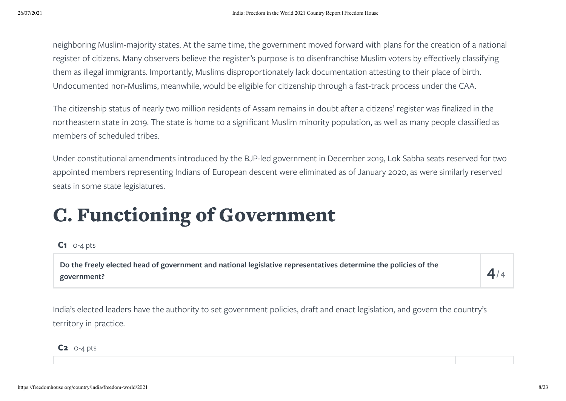neighboring Muslim-majority states. At the same time, the government moved forward with plans for the creation of a national register of citizens. Many observers believe the register's purpose is to disenfranchise Muslim voters by effectively classifying them as illegal immigrants. Importantly, Muslims disproportionately lack documentation attesting to their place of birth. Undocumented non-Muslims, meanwhile, would be eligible for citizenship through a fast-track process under the CAA.

The citizenship status of nearly two million residents of Assam remains in doubt after a citizens' register was finalized in the northeastern state in 2019. The state is home to a significant Muslim minority population, as well as many people classified as members of scheduled tribes.

Under constitutional amendments introduced by the BJP-led government in December 2019, Lok Sabha seats reserved for two appointed members representing Indians of European descent were eliminated as of January 2020, as were similarly reserved seats in some state legislatures.

# C. Functioning of Government

### **C1** 0-4 pts

**Do the freely elected head of government and national legislative representatives determine the policies of the government? 4**

 $4/4$ 

India's elected leaders have the authority to set government policies, draft and enact legislation, and govern the country's territory in practice.

**C2** 0-4 pts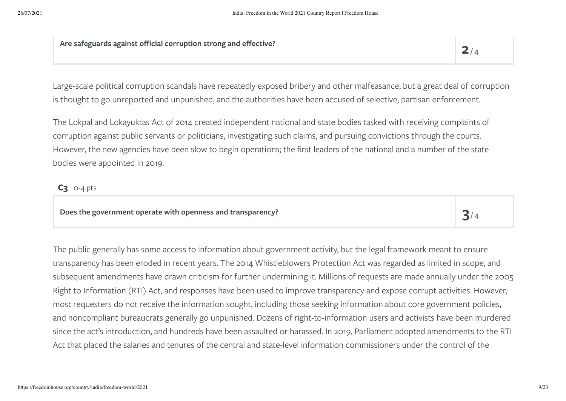**Are safeguards against official corruption strong and effective?**

 $3/4$ 

Large-scale political corruption scandals have repeatedly exposed bribery and other malfeasance, but a great deal of corruption is thought to go unreported and unpunished, and the authorities have been accused of selective, partisan enforcement.

The Lokpal and Lokayuktas Act of 2014 created independent national and state bodies tasked with receiving complaints of corruption against public servants or politicians, investigating such claims, and pursuing convictions through the courts. However, the new agencies have been slow to begin operations; the first leaders of the national and a number of the state bodies were appointed in 2019.

### **C3** 0-4 pts

### **Does the government operate with openness and transparency? 3**

The public generally has some access to information about government activity, but the legal framework meant to ensure transparency has been eroded in recent years. The 2014 Whistleblowers Protection Act was regarded as limited in scope, and subsequent amendments have drawn criticism for further undermining it. Millions of requests are made annually under the 2005 Right to Information (RTI) Act, and responses have been used to improve transparency and expose corrupt activities. However, most requesters do not receive the information sought, including those seeking information about core government policies, and noncompliant bureaucrats generally go unpunished. Dozens of right-to-information users and activists have been murdered since the act's introduction, and hundreds have been assaulted or harassed. In 2019, Parliament adopted amendments to the RTI Act that placed the salaries and tenures of the central and state-level information commissioners under the control of the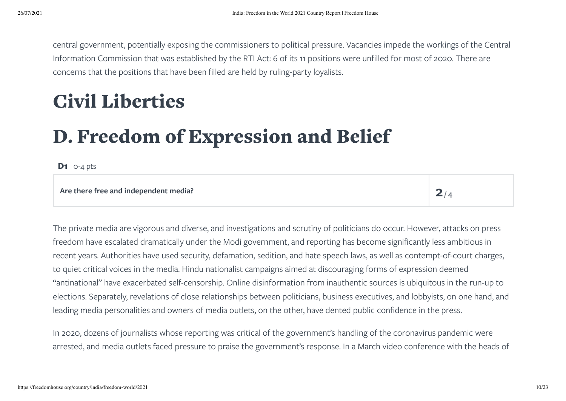central government, potentially exposing the commissioners to political pressure. Vacancies impede the workings of the Central Information Commission that was established by the RTI Act: 6 of its 11 positions were unfilled for most of 2020. There are concerns that the positions that have been filled are held by ruling-party loyalists.

# <span id="page-9-0"></span>Civil Liberties

# D. Freedom of Expression and Belief

**D1** 0-4 pts

#### **Are there free and independent media? 2**

 $2/4$ 

The private media are vigorous and diverse, and investigations and scrutiny of politicians do occur. However, attacks on press freedom have escalated dramatically under the Modi government, and reporting has become significantly less ambitious in recent years. Authorities have used security, defamation, sedition, and hate speech laws, as well as contempt-of-court charges, to quiet critical voices in the media. Hindu nationalist campaigns aimed at discouraging forms of expression deemed "antinational" have exacerbated self-censorship. Online disinformation from inauthentic sources is ubiquitous in the run-up to elections. Separately, revelations of close relationships between politicians, business executives, and lobbyists, on one hand, and leading media personalities and owners of media outlets, on the other, have dented public confidence in the press.

In 2020, dozens of journalists whose reporting was critical of the government's handling of the coronavirus pandemic were arrested, and media outlets faced pressure to praise the government's response. In a March video conference with the heads of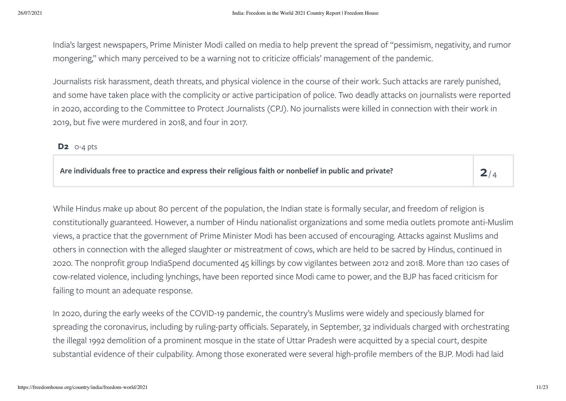India's largest newspapers, Prime Minister Modi called on media to help prevent the spread of "pessimism, negativity, and rumor mongering," which many perceived to be a warning not to criticize officials' management of the pandemic.

Journalists risk harassment, death threats, and physical violence in the course of their work. Such attacks are rarely punished, and some have taken place with the complicity or active participation of police. Two deadly attacks on journalists were reported in 2020, according to the Committee to Protect Journalists (CPJ). No journalists were killed in connection with their work in 2019, but five were murdered in 2018, and four in 2017.

### **D2** 0-4 pts

| Are individuals free to practice and express their religious faith or nonbelief in public and private? | 2 <sub>1</sub> |
|--------------------------------------------------------------------------------------------------------|----------------|
|                                                                                                        |                |

 $2/4$ 

While Hindus make up about 80 percent of the population, the Indian state is formally secular, and freedom of religion is constitutionally guaranteed. However, a number of Hindu nationalist organizations and some media outlets promote anti-Muslim views, a practice that the government of Prime Minister Modi has been accused of encouraging. Attacks against Muslims and others in connection with the alleged slaughter or mistreatment of cows, which are held to be sacred by Hindus, continued in 2020. The nonprofit group IndiaSpend documented 45 killings by cow vigilantes between 2012 and 2018. More than 120 cases of cow-related violence, including lynchings, have been reported since Modi came to power, and the BJP has faced criticism for failing to mount an adequate response.

In 2020, during the early weeks of the COVID-19 pandemic, the country's Muslims were widely and speciously blamed for spreading the coronavirus, including by ruling-party officials. Separately, in September, 32 individuals charged with orchestrating the illegal 1992 demolition of a prominent mosque in the state of Uttar Pradesh were acquitted by a special court, despite substantial evidence of their culpability. Among those exonerated were several high-profile members of the BJP. Modi had laid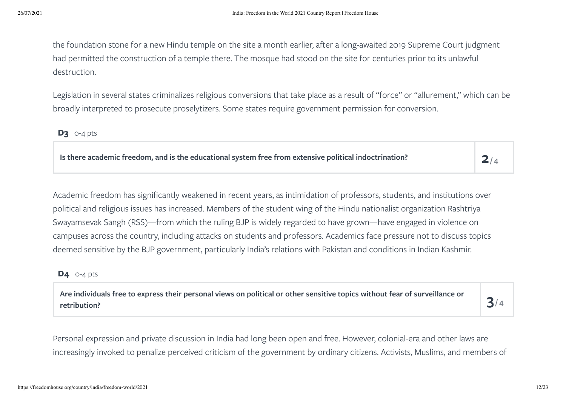the foundation stone for a new Hindu temple on the site a month earlier, after a long-awaited 2019 Supreme Court judgment had permitted the construction of a temple there. The mosque had stood on the site for centuries prior to its unlawful destruction.

Legislation in several states criminalizes religious conversions that take place as a result of "force" or "allurement," which can be broadly interpreted to prosecute proselytizers. Some states require government permission for conversion.

### **D3** 0-4 pts

**Is there academic freedom, and is the educational system free from extensive political indoctrination? 2**

 $2/4$ 

Academic freedom has significantly weakened in recent years, as intimidation of professors, students, and institutions over political and religious issues has increased. Members of the student wing of the Hindu nationalist organization Rashtriya Swayamsevak Sangh (RSS)—from which the ruling BJP is widely regarded to have grown—have engaged in violence on campuses across the country, including attacks on students and professors. Academics face pressure not to discuss topics deemed sensitive by the BJP government, particularly India's relations with Pakistan and conditions in Indian Kashmir.

### **D4** 0-4 pts

Are individuals free to express their personal views on political or other sensitive topics without fear of surveillance or  $\mathbf S/\mathbf S$ 

 $3/4$ 

Personal expression and private discussion in India had long been open and free. However, colonial-era and other laws are increasingly invoked to penalize perceived criticism of the government by ordinary citizens. Activists, Muslims, and members of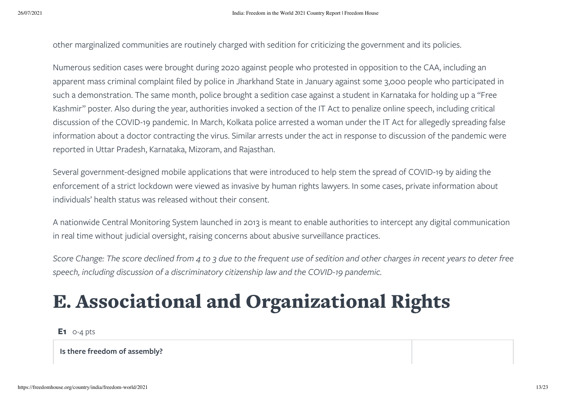other marginalized communities are routinely charged with sedition for criticizing the government and its policies.

Numerous sedition cases were brought during 2020 against people who protested in opposition to the CAA, including an apparent mass criminal complaint filed by police in Jharkhand State in January against some 3,000 people who participated in such a demonstration. The same month, police brought a sedition case against a student in Karnataka for holding up a "Free Kashmir" poster. Also during the year, authorities invoked a section of the IT Act to penalize online speech, including critical discussion of the COVID-19 pandemic. In March, Kolkata police arrested a woman under the IT Act for allegedly spreading false information about a doctor contracting the virus. Similar arrests under the act in response to discussion of the pandemic were reported in Uttar Pradesh, Karnataka, Mizoram, and Rajasthan.

Several government-designed mobile applications that were introduced to help stem the spread of COVID-19 by aiding the enforcement of a strict lockdown were viewed as invasive by human rights lawyers. In some cases, private information about individuals' health status was released without their consent.

A nationwide Central Monitoring System launched in 2013 is meant to enable authorities to intercept any digital communication in real time without judicial oversight, raising concerns about abusive surveillance practices.

Score Change: The score declined from 4 to 3 due to the frequent use of sedition and other charges in recent years to deter free *speech, including discussion of a discriminatory citizenship law and the COVID-19 pandemic.*

# E. Associational and Organizational Rights

**E1** 0-4 pts

**Is there freedom of assembly?**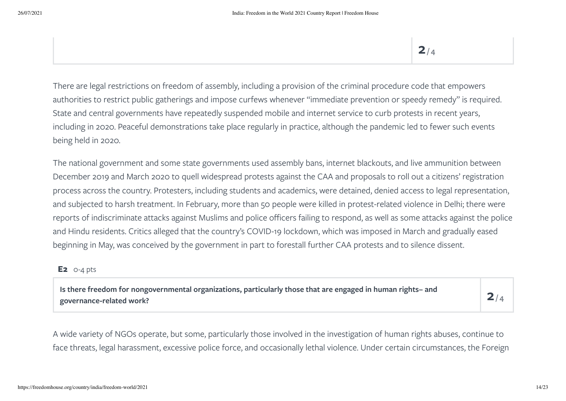There are legal restrictions on freedom of assembly, including a provision of the criminal procedure code that empowers authorities to restrict public gatherings and impose curfews whenever "immediate prevention or speedy remedy" is required. State and central governments have repeatedly suspended mobile and internet service to curb protests in recent years, including in 2020. Peaceful demonstrations take place regularly in practice, although the pandemic led to fewer such events being held in 2020.

The national government and some state governments used assembly bans, internet blackouts, and live ammunition between December 2019 and March 2020 to quell widespread protests against the CAA and proposals to roll out a citizens' registration process across the country. Protesters, including students and academics, were detained, denied access to legal representation, and subjected to harsh treatment. In February, more than 50 people were killed in protest-related violence in Delhi; there were reports of indiscriminate attacks against Muslims and police officers failing to respond, as well as some attacks against the police and Hindu residents. Critics alleged that the country's COVID-19 lockdown, which was imposed in March and gradually eased beginning in May, was conceived by the government in part to forestall further CAA protests and to silence dissent.

### **E2** 0-4 pts

Is there freedom for nongovernmental organizations, particularly those that are engaged in human rights– and  $\mathsf Q_\ell$ 

 $2/4$ 

A wide variety of NGOs operate, but some, particularly those involved in the investigation of human rights abuses, continue to face threats, legal harassment, excessive police force, and occasionally lethal violence. Under certain circumstances, the Foreign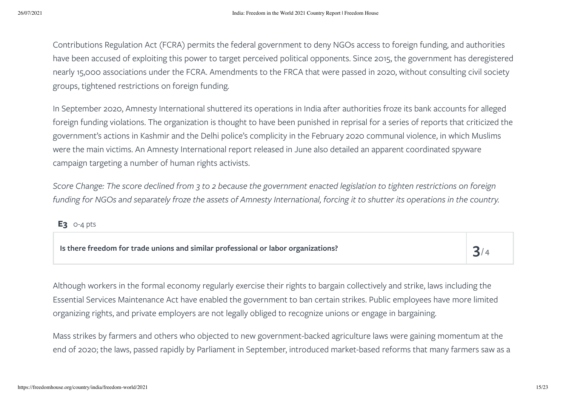Contributions Regulation Act (FCRA) permits the federal government to deny NGOs access to foreign funding, and authorities have been accused of exploiting this power to target perceived political opponents. Since 2015, the government has deregistered nearly 15,000 associations under the FCRA. Amendments to the FRCA that were passed in 2020, without consulting civil society groups, tightened restrictions on foreign funding.

In September 2020, Amnesty International shuttered its operations in India after authorities froze its bank accounts for alleged foreign funding violations. The organization is thought to have been punished in reprisal for a series of reports that criticized the government's actions in Kashmir and the Delhi police's complicity in the February 2020 communal violence, in which Muslims were the main victims. An Amnesty International report released in June also detailed an apparent coordinated spyware campaign targeting a number of human rights activists.

Score Change: The score declined from 3 to 2 because the government enacted legislation to tighten restrictions on foreign funding for NGOs and separately froze the assets of Amnesty International, forcing it to shutter its operations in the country.

**E3** 0-4 pts

| Is there freedom for trade unions and similar professional or labor organizations? |  |
|------------------------------------------------------------------------------------|--|
|------------------------------------------------------------------------------------|--|

Although workers in the formal economy regularly exercise their rights to bargain collectively and strike, laws including the Essential Services Maintenance Act have enabled the government to ban certain strikes. Public employees have more limited organizing rights, and private employers are not legally obliged to recognize unions or engage in bargaining.

Mass strikes by farmers and others who objected to new government-backed agriculture laws were gaining momentum at the end of 2020; the laws, passed rapidly by Parliament in September, introduced market-based reforms that many farmers saw as a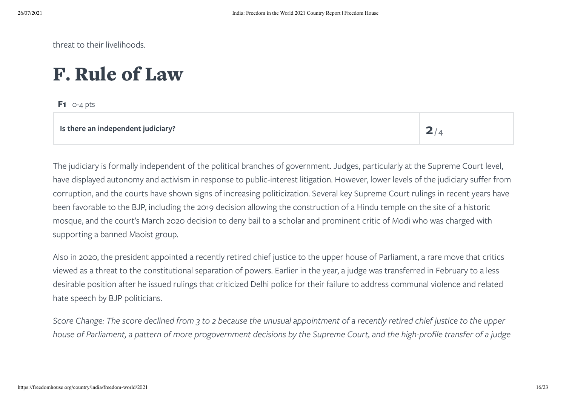threat to their livelihoods.

### F. Rule of Law

**F1** 0-4 pts

 $2/4$ 

The judiciary is formally independent of the political branches of government. Judges, particularly at the Supreme Court level, have displayed autonomy and activism in response to public-interest litigation. However, lower levels of the judiciary suffer from corruption, and the courts have shown signs of increasing politicization. Several key Supreme Court rulings in recent years have been favorable to the BJP, including the 2019 decision allowing the construction of a Hindu temple on the site of a historic mosque, and the court's March 2020 decision to deny bail to a scholar and prominent critic of Modi who was charged with supporting a banned Maoist group.

Also in 2020, the president appointed a recently retired chief justice to the upper house of Parliament, a rare move that critics viewed as a threat to the constitutional separation of powers. Earlier in the year, a judge was transferred in February to a less desirable position after he issued rulings that criticized Delhi police for their failure to address communal violence and related hate speech by BJP politicians.

Score Change: The score declined from 3 to 2 because the unusual appointment of a recently retired chief justice to the upper house of Parliament, a pattern of more progovernment decisions by the Supreme Court, and the high-profile transfer of a judge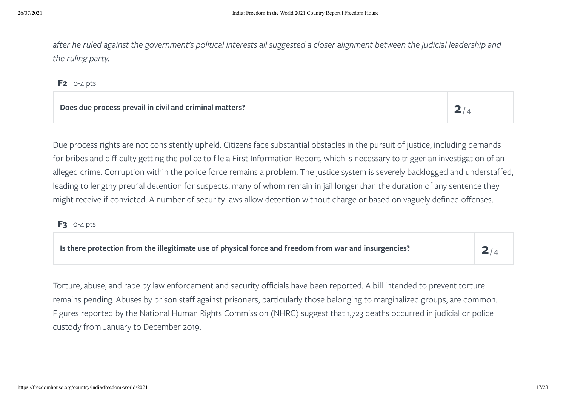after he ruled against the government's political interests all suggested a closer alignment between the judicial leadership and *the ruling party.*

**F2** 0-4 pts

**Does due process prevail in civil and criminal matters? 2**

 $2/4$ 

Due process rights are not consistently upheld. Citizens face substantial obstacles in the pursuit of justice, including demands for bribes and difficulty getting the police to file a First Information Report, which is necessary to trigger an investigation of an alleged crime. Corruption within the police force remains a problem. The justice system is severely backlogged and understaffed, leading to lengthy pretrial detention for suspects, many of whom remain in jail longer than the duration of any sentence they might receive if convicted. A number of security laws allow detention without charge or based on vaguely defined offenses.

**F3** 0-4 pts

**Is there protection from the illegitimate use of physical force and freedom from war and insurgencies? 2**  $2/4$ 

Torture, abuse, and rape by law enforcement and security officials have been reported. A bill intended to prevent torture remains pending. Abuses by prison staff against prisoners, particularly those belonging to marginalized groups, are common. Figures reported by the National Human Rights Commission (NHRC) suggest that 1,723 deaths occurred in judicial or police custody from January to December 2019.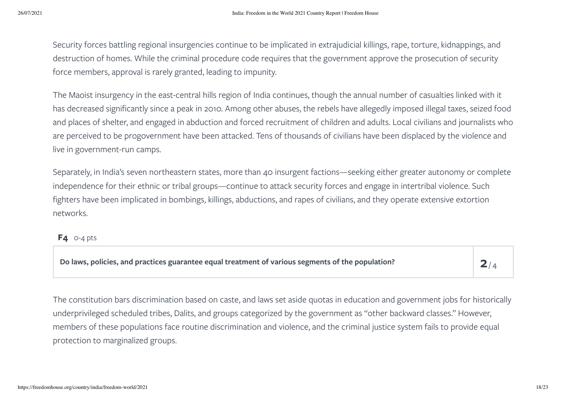Security forces battling regional insurgencies continue to be implicated in extrajudicial killings, rape, torture, kidnappings, and destruction of homes. While the criminal procedure code requires that the government approve the prosecution of security force members, approval is rarely granted, leading to impunity.

The Maoist insurgency in the east-central hills region of India continues, though the annual number of casualties linked with it has decreased significantly since a peak in 2010. Among other abuses, the rebels have allegedly imposed illegal taxes, seized food and places of shelter, and engaged in abduction and forced recruitment of children and adults. Local civilians and journalists who are perceived to be progovernment have been attacked. Tens of thousands of civilians have been displaced by the violence and live in government-run camps.

Separately, in India's seven northeastern states, more than 40 insurgent factions—seeking either greater autonomy or complete independence for their ethnic or tribal groups—continue to attack security forces and engage in intertribal violence. Such fighters have been implicated in bombings, killings, abductions, and rapes of civilians, and they operate extensive extortion networks.

### **F4** 0-4 pts

**Do laws, policies, and practices guarantee equal treatment of various segments of the population? 2**  $2/4$ 

The constitution bars discrimination based on caste, and laws set aside quotas in education and government jobs for historically underprivileged scheduled tribes, Dalits, and groups categorized by the government as "other backward classes." However, members of these populations face routine discrimination and violence, and the criminal justice system fails to provide equal protection to marginalized groups.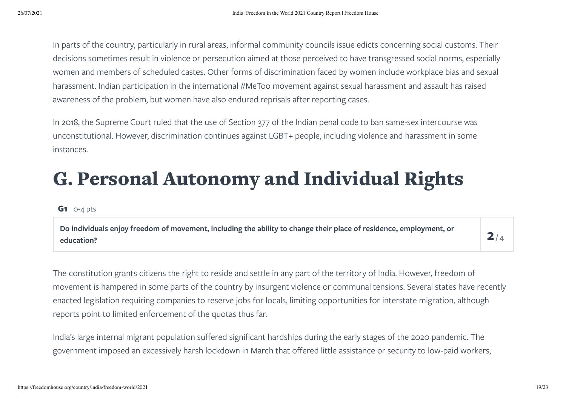In parts of the country, particularly in rural areas, informal community councils issue edicts concerning social customs. Their decisions sometimes result in violence or persecution aimed at those perceived to have transgressed social norms, especially women and members of scheduled castes. Other forms of discrimination faced by women include workplace bias and sexual harassment. Indian participation in the international #MeToo movement against sexual harassment and assault has raised awareness of the problem, but women have also endured reprisals after reporting cases.

In 2018, the Supreme Court ruled that the use of Section 377 of the Indian penal code to ban same-sex intercourse was unconstitutional. However, discrimination continues against LGBT+ people, including violence and harassment in some instances.

## G. Personal Autonomy and Individual Rights

#### **G1** 0-4 pts

**Do individuals enjoy freedom of movement, including the ability to change their place of residence, employment, or education? 2**

 $2/4$ 

The constitution grants citizens the right to reside and settle in any part of the territory of India. However, freedom of movement is hampered in some parts of the country by insurgent violence or communal tensions. Several states have recently enacted legislation requiring companies to reserve jobs for locals, limiting opportunities for interstate migration, although reports point to limited enforcement of the quotas thus far.

India's large internal migrant population suffered significant hardships during the early stages of the 2020 pandemic. The government imposed an excessively harsh lockdown in March that offered little assistance or security to low-paid workers,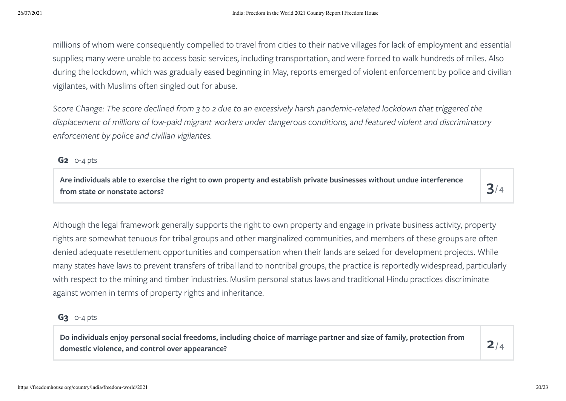millions of whom were consequently compelled to travel from cities to their native villages for lack of employment and essential supplies; many were unable to access basic services, including transportation, and were forced to walk hundreds of miles. Also during the lockdown, which was gradually eased beginning in May, reports emerged of violent enforcement by police and civilian vigilantes, with Muslims often singled out for abuse.

Score Change: The score declined from 3 to 2 due to an excessively harsh pandemic-related lockdown that triggered the displacement of millions of low-paid migrant workers under dangerous conditions, and featured violent and discriminatory *enforcement by police and civilian vigilantes.*

**G2** 0-4 pts

Are individuals able to exercise the right to own property and establish private businesses without undue interference<br>from state or nonstate actors?

 $3/4$ 

Although the legal framework generally supports the right to own property and engage in private business activity, property rights are somewhat tenuous for tribal groups and other marginalized communities, and members of these groups are often denied adequate resettlement opportunities and compensation when their lands are seized for development projects. While many states have laws to prevent transfers of tribal land to nontribal groups, the practice is reportedly widespread, particularly with respect to the mining and timber industries. Muslim personal status laws and traditional Hindu practices discriminate against women in terms of property rights and inheritance.

### **G3** 0-4 pts

Do individuals enjoy personal social freedoms, including choice of marriage partner and size of family, protection from  $\mathsf P$ 

 $2/4$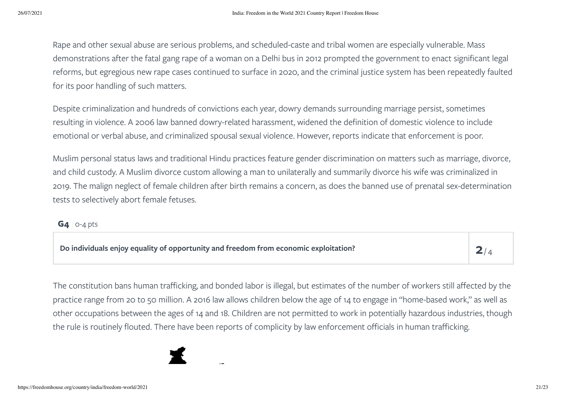Rape and other sexual abuse are serious problems, and scheduled-caste and tribal women are especially vulnerable. Mass demonstrations after the fatal gang rape of a woman on a Delhi bus in 2012 prompted the government to enact significant legal reforms, but egregious new rape cases continued to surface in 2020, and the criminal justice system has been repeatedly faulted for its poor handling of such matters.

Despite criminalization and hundreds of convictions each year, dowry demands surrounding marriage persist, sometimes resulting in violence. A 2006 law banned dowry-related harassment, widened the definition of domestic violence to include emotional or verbal abuse, and criminalized spousal sexual violence. However, reports indicate that enforcement is poor.

Muslim personal status laws and traditional Hindu practices feature gender discrimination on matters such as marriage, divorce, and child custody. A Muslim divorce custom allowing a man to unilaterally and summarily divorce his wife was criminalized in 2019. The malign neglect of female children after birth remains a concern, as does the banned use of prenatal sex-determination tests to selectively abort female fetuses.

### **G4** 0-4 pts

| Do individuals enjoy equality of opportunity and freedom from economic exploitation? |  |
|--------------------------------------------------------------------------------------|--|
|                                                                                      |  |

The constitution bans human trafficking, and bonded labor is illegal, but estimates of the number of workers still affected by the practice range from 20 to 50 million. A 2016 law allows children below the age of 14 to engage in "home-based work," as well as other occupations between the ages of 14 and 18. Children are not permitted to work in potentially hazardous industries, though the rule is routinely flouted. There have been reports of complicity by law enforcement officials in human trafficking.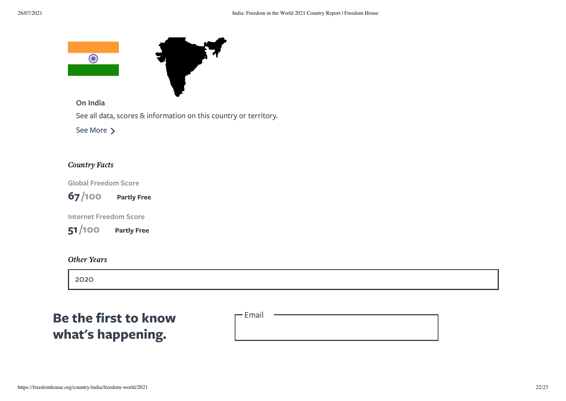

**On India**

See all data, scores & information on this country or territory.

See [More](https://freedomhouse.org/country/india)  $\sum$ 

#### Country Facts

**Global Freedom Score**



**Internet Freedom Score**

**51 Partly Free /100**

### Other Years

[2020](https://freedomhouse.org/country/india/freedom-world/2020)

### **Be the first to know what's happening.**

- Email